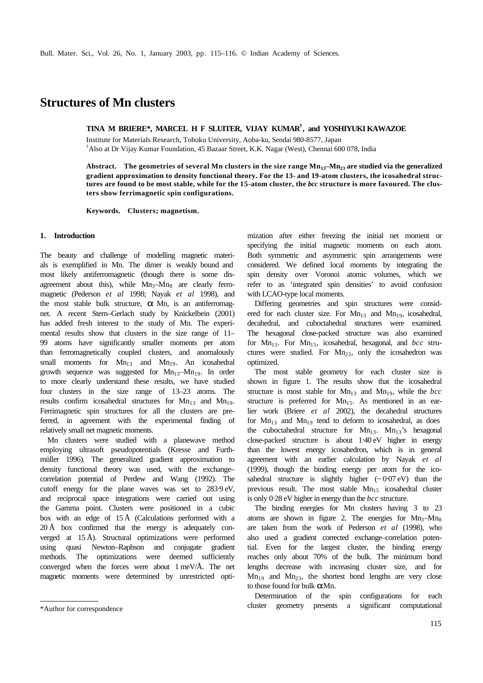## **Structures of Mn clusters**

**TINA M BRIERE\*, MARCEL H F SLUITER, VIJAY KUMAR† , and YOSHIYUKI KAWAZOE**

Institute for Materials Research, Tohoku University, Aoba-ku, Sendai 980-8577, Japan †Also at Dr Vijay Kumar Foundation, 45 Bazaar Street, K.K. Nagar (West), Chennai 600 078, India

**Abstract. The geometries of several Mn clusters in the size range Mn13–Mn23 are studied via the generalized gradient approximation to density functional theory. For the 13- and 19-atom clusters, the icosahedral structures are found to be most stable, while for the 15-atom cluster, the** *bcc* **structure is more favoured. The clusters show ferrimagnetic spin configurations.**

**Keywords. Clusters; magnetism.**

## **1. Introduction**

The beauty and challenge of modelling magnetic materials is exemplified in Mn. The dimer is weakly bound and most likely antiferromagnetic (though there is some disagreement about this), while  $Mn_3-Mn_8$  are clearly ferromagnetic (Pederson *et al* 1998; Nayak *et al* 1998), and the most stable bulk structure, *a* Mn, is an antiferromagnet. A recent Stern–Gerlach study by Knickelbein (2001) has added fresh interest to the study of Mn. The experimental results show that clusters in the size range of 11– 99 atoms have significantly smaller moments per atom than ferromagnetically coupled clusters, and anomalously small moments for  $Mn_{13}$  and  $Mn_{19}$ . An icosahedral growth sequence was suggested for  $Mn_{13}$ - $Mn_{19}$ . In order to more clearly understand these results, we have studied four clusters in the size range of 13–23 atoms. The results confirm icosahedral structures for  $Mn_{13}$  and  $Mn_{19}$ . Ferrimagnetic spin structures for all the clusters are preferred, in agreement with the experimental finding of relatively small net magnetic moments.

Mn clusters were studied with a planewave method employing ultrasoft pseudopotentials (Kresse and Furthmüller 1996). The generalized gradient approximation to density functional theory was used, with the exchange– correlation potential of Perdew and Wang (1992). The cutoff energy for the plane waves was set to 283⋅9 eV, and reciprocal space integrations were carried out using the Gamma point. Clusters were positioned in a cubic box with an edge of  $15 \text{ Å}$  (Calculations performed with a  $20 \text{ Å}$  box confirmed that the energy is adequately converged at 15 Å). Structural optimizations were performed using quasi Newton–Raphson and conjugate gradient methods. The optimizations were deemed sufficiently converged when the forces were about 1 meV/Å. The net magnetic moments were determined by unrestricted opti-

mization after either freezing the initial net moment or specifying the initial magnetic moments on each atom. Both symmetric and asymmetric spin arrangements were considered. We defined local moments by integrating the spin density over Voronoi atomic volumes, which we refer to as 'integrated spin densities' to avoid confusion with LCAO-type local moments.

Differing geometries and spin structures were considered for each cluster size. For  $Mn_{13}$  and  $Mn_{19}$ , icosahedral, decahedral, and cuboctahedral structures were examined. The hexagonal close-packed structure was also examined for Mn<sub>13</sub>. For Mn<sub>15</sub>, icosahedral, hexagonal, and *bcc* structures were studied. For  $Mn_{23}$ , only the icosahedron was optimized.

The most stable geometry for each cluster size is shown in figure 1. The results show that the icosahedral structure is most stable for  $Mn_{13}$  and  $Mn_{19}$ , while the *bcc* structure is preferred for  $Mn<sub>15</sub>$ . As mentioned in an earlier work (Briere *et al* 2002), the decahedral structures for  $Mn_{13}$  and  $Mn_{19}$  tend to deform to icosahedral, as does the cuboctahedral structure for  $Mn_{13}$ .  $Mn_{13}$ 's hexagonal close-packed structure is about 1⋅40 eV higher in energy than the lowest energy icosahedron, which is in general agreement with an earlier calculation by Nayak *et al* (1999), though the binding energy per atom for the icosahedral structure is slightly higher  $({\sim}0.07 \text{ eV})$  than the previous result. The most stable  $Mn<sub>15</sub>$  icosahedral cluster is only 0⋅28 eV higher in energy than the *bcc* structure.

The binding energies for Mn clusters having 3 to 23 atoms are shown in figure 2. The energies for  $Mn_3-Mn_8$ are taken from the work of Pederson *et al* (1998), who also used a gradient corrected exchange–correlation potential. Even for the largest cluster, the binding energy reaches only about 70% of the bulk. The minimum bond lengths decrease with increasing cluster size, and for  $Mn_{19}$  and  $Mn_{23}$ , the shortest bond lengths are very close to those found for bulk *a* Mn.

Determination of the spin configurations for each cluster geometry presents a significant computational \*Author for correspondence